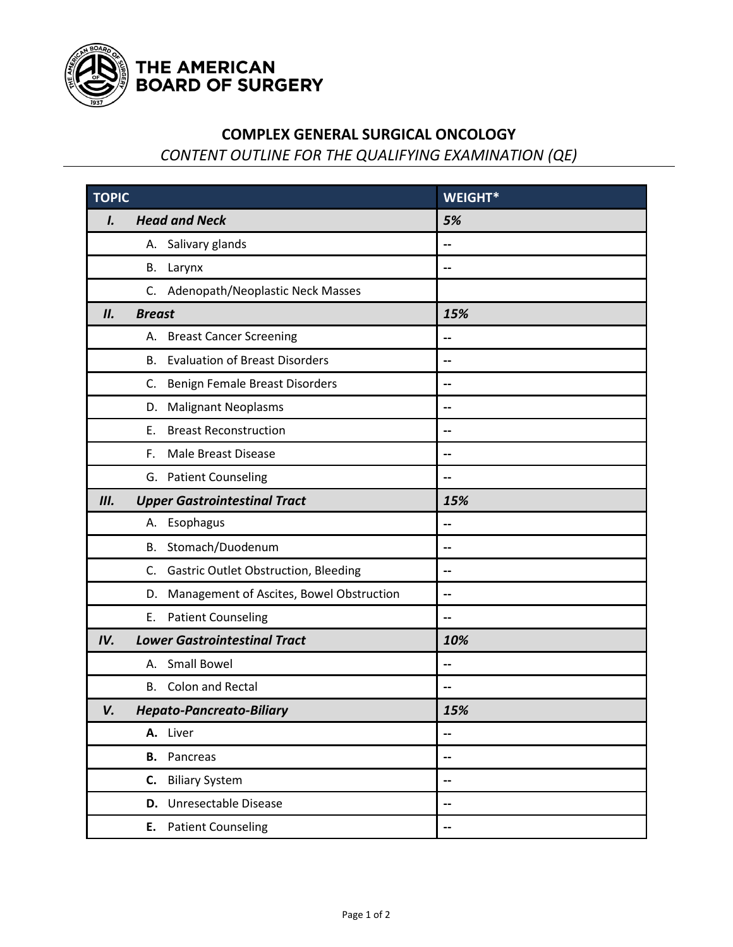

## THE AMERICAN<br>BOARD OF SURGERY

## **COMPLEX GENERAL SURGICAL ONCOLOGY**

*CONTENT OUTLINE FOR THE QUALIFYING EXAMINATION (QE)*

| <b>TOPIC</b>                          |                                                   | WEIGHT* |
|---------------------------------------|---------------------------------------------------|---------|
| I.                                    | <b>Head and Neck</b>                              | 5%      |
|                                       | Salivary glands<br>А.                             | --      |
|                                       | В.<br>Larynx                                      | --      |
|                                       | Adenopath/Neoplastic Neck Masses<br>C.            |         |
| II.                                   | <b>Breast</b>                                     | 15%     |
|                                       | <b>Breast Cancer Screening</b><br>А.              | --      |
|                                       | <b>Evaluation of Breast Disorders</b><br>В.       | --      |
|                                       | Benign Female Breast Disorders<br>C.              |         |
|                                       | <b>Malignant Neoplasms</b><br>D.                  |         |
|                                       | <b>Breast Reconstruction</b><br>Е.                | --      |
|                                       | F.<br><b>Male Breast Disease</b>                  |         |
|                                       | G. Patient Counseling                             |         |
| III.                                  | <b>Upper Gastrointestinal Tract</b>               | 15%     |
|                                       | A. Esophagus                                      | $-$     |
|                                       | Stomach/Duodenum<br>В.                            | --      |
|                                       | <b>Gastric Outlet Obstruction, Bleeding</b><br>C. |         |
|                                       | Management of Ascites, Bowel Obstruction<br>D.    | --      |
|                                       | <b>Patient Counseling</b><br>Ε.                   | --      |
| IV.                                   | <b>Lower Gastrointestinal Tract</b>               | 10%     |
|                                       | <b>Small Bowel</b><br>А.                          |         |
|                                       | Colon and Rectal<br>В.                            | --      |
| V.<br><b>Hepato-Pancreato-Biliary</b> |                                                   | 15%     |
|                                       | A. Liver                                          |         |
|                                       | <b>B.</b> Pancreas                                |         |
|                                       | <b>Biliary System</b><br>C.                       |         |
|                                       | D. Unresectable Disease                           |         |
|                                       | E. Patient Counseling                             | --      |